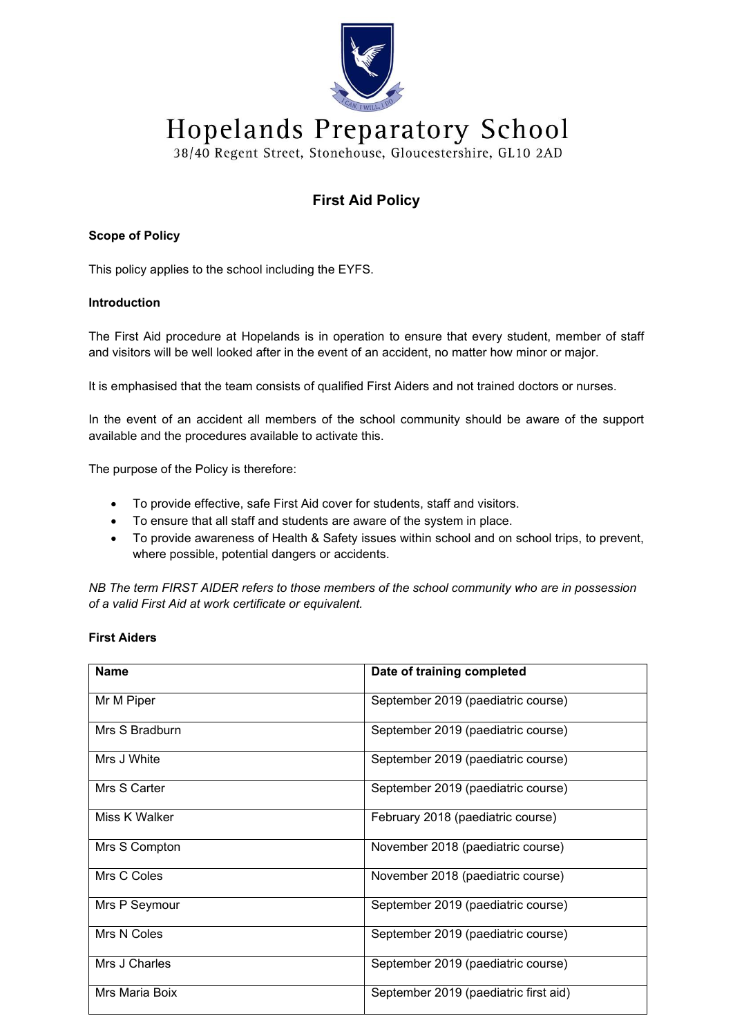

# Hopelands Preparatory School

38/40 Regent Street, Stonehouse, Gloucestershire, GL10 2AD

# **First Aid Policy**

## **Scope of Policy**

This policy applies to the school including the EYFS.

## **Introduction**

The First Aid procedure at Hopelands is in operation to ensure that every student, member of staff and visitors will be well looked after in the event of an accident, no matter how minor or major.

It is emphasised that the team consists of qualified First Aiders and not trained doctors or nurses.

In the event of an accident all members of the school community should be aware of the support available and the procedures available to activate this.

The purpose of the Policy is therefore:

- To provide effective, safe First Aid cover for students, staff and visitors.
- To ensure that all staff and students are aware of the system in place.
- To provide awareness of Health & Safety issues within school and on school trips, to prevent, where possible, potential dangers or accidents.

*NB The term FIRST AIDER refers to those members of the school community who are in possession of a valid First Aid at work certificate or equivalent.*

# **First Aiders**

| <b>Name</b>    | Date of training completed            |
|----------------|---------------------------------------|
| Mr M Piper     | September 2019 (paediatric course)    |
| Mrs S Bradburn | September 2019 (paediatric course)    |
| Mrs J White    | September 2019 (paediatric course)    |
| Mrs S Carter   | September 2019 (paediatric course)    |
| Miss K Walker  | February 2018 (paediatric course)     |
| Mrs S Compton  | November 2018 (paediatric course)     |
| Mrs C Coles    | November 2018 (paediatric course)     |
| Mrs P Seymour  | September 2019 (paediatric course)    |
| Mrs N Coles    | September 2019 (paediatric course)    |
| Mrs J Charles  | September 2019 (paediatric course)    |
| Mrs Maria Boix | September 2019 (paediatric first aid) |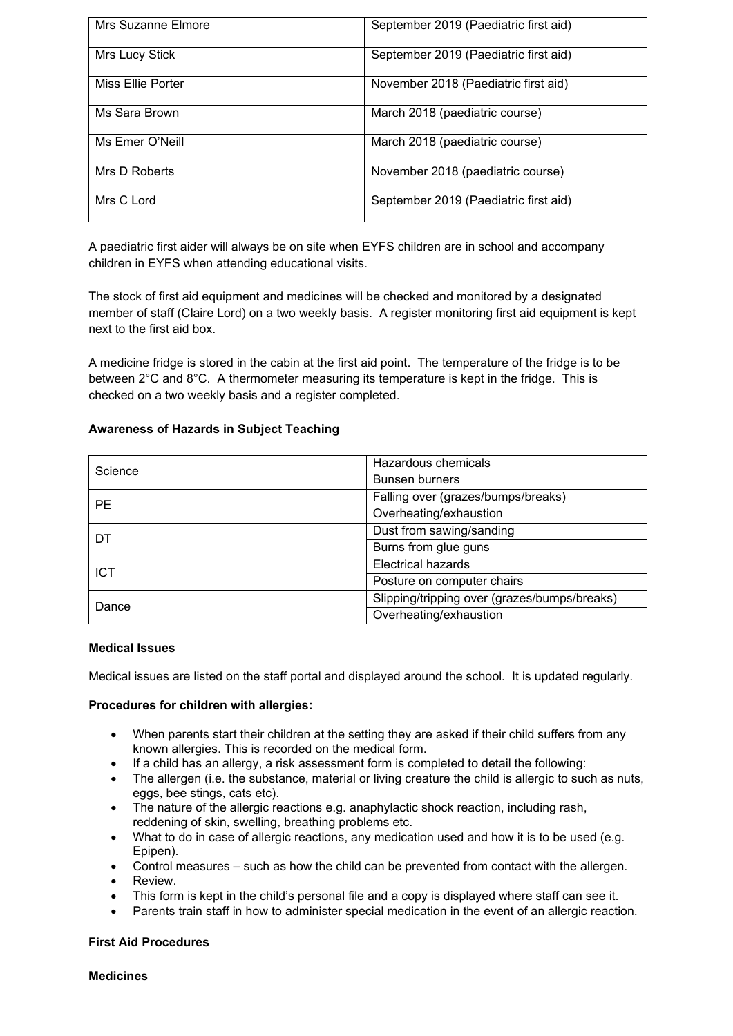| Mrs Suzanne Elmore | September 2019 (Paediatric first aid) |
|--------------------|---------------------------------------|
| Mrs Lucy Stick     | September 2019 (Paediatric first aid) |
| Miss Ellie Porter  | November 2018 (Paediatric first aid)  |
| Ms Sara Brown      | March 2018 (paediatric course)        |
| Ms Emer O'Neill    | March 2018 (paediatric course)        |
| Mrs D Roberts      | November 2018 (paediatric course)     |
| Mrs C Lord         | September 2019 (Paediatric first aid) |

A paediatric first aider will always be on site when EYFS children are in school and accompany children in EYFS when attending educational visits.

The stock of first aid equipment and medicines will be checked and monitored by a designated member of staff (Claire Lord) on a two weekly basis. A register monitoring first aid equipment is kept next to the first aid box.

A medicine fridge is stored in the cabin at the first aid point. The temperature of the fridge is to be between 2°C and 8°C. A thermometer measuring its temperature is kept in the fridge. This is checked on a two weekly basis and a register completed.

## **Awareness of Hazards in Subject Teaching**

| Science    | Hazardous chemicals                          |
|------------|----------------------------------------------|
|            | Bunsen burners                               |
| <b>PE</b>  | Falling over (grazes/bumps/breaks)           |
|            | Overheating/exhaustion                       |
| DT         | Dust from sawing/sanding                     |
|            | Burns from glue guns                         |
| <b>ICT</b> | <b>Electrical hazards</b>                    |
|            | Posture on computer chairs                   |
| Dance      | Slipping/tripping over (grazes/bumps/breaks) |
|            | Overheating/exhaustion                       |

#### **Medical Issues**

Medical issues are listed on the staff portal and displayed around the school. It is updated regularly.

#### **Procedures for children with allergies:**

- When parents start their children at the setting they are asked if their child suffers from any known allergies. This is recorded on the medical form.
- If a child has an allergy, a risk assessment form is completed to detail the following:
- The allergen (i.e. the substance, material or living creature the child is allergic to such as nuts, eggs, bee stings, cats etc).
- The nature of the allergic reactions e.g. anaphylactic shock reaction, including rash, reddening of skin, swelling, breathing problems etc.
- What to do in case of allergic reactions, any medication used and how it is to be used (e.g. Epipen).
- Control measures such as how the child can be prevented from contact with the allergen.
- Review.
- This form is kept in the child's personal file and a copy is displayed where staff can see it.
- Parents train staff in how to administer special medication in the event of an allergic reaction.

#### **First Aid Procedures**

**Medicines**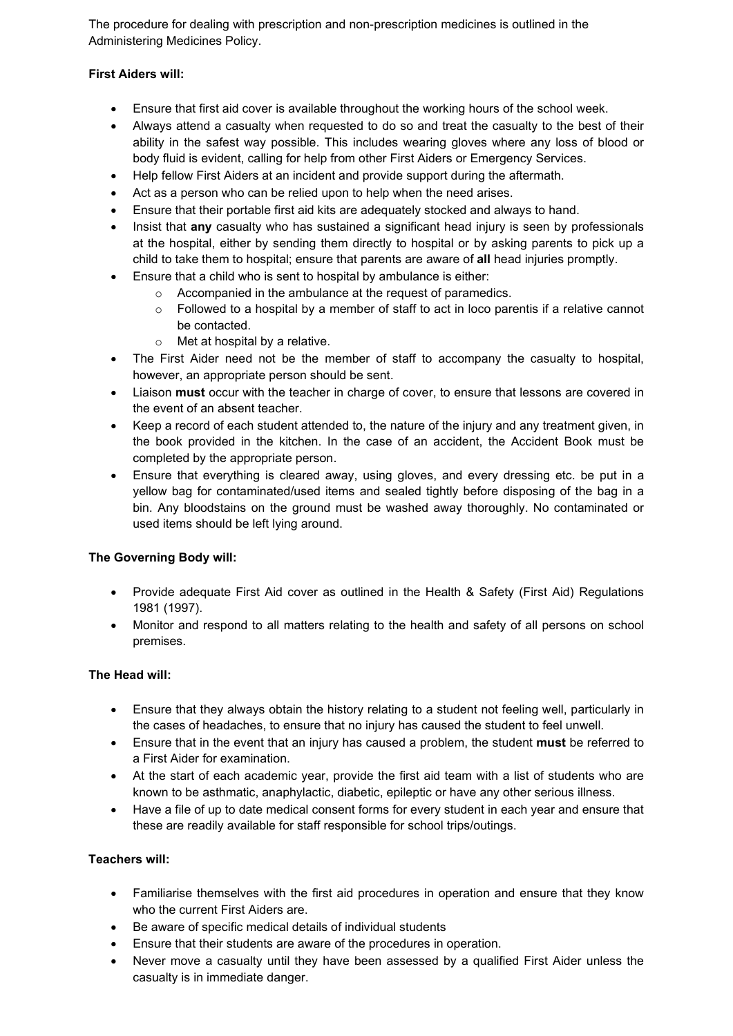The procedure for dealing with prescription and non-prescription medicines is outlined in the Administering Medicines Policy.

## **First Aiders will:**

- Ensure that first aid cover is available throughout the working hours of the school week.
- Always attend a casualty when requested to do so and treat the casualty to the best of their ability in the safest way possible. This includes wearing gloves where any loss of blood or body fluid is evident, calling for help from other First Aiders or Emergency Services.
- Help fellow First Aiders at an incident and provide support during the aftermath.
- Act as a person who can be relied upon to help when the need arises.
- Ensure that their portable first aid kits are adequately stocked and always to hand.
- Insist that **any** casualty who has sustained a significant head injury is seen by professionals at the hospital, either by sending them directly to hospital or by asking parents to pick up a child to take them to hospital; ensure that parents are aware of **all** head injuries promptly.
- Ensure that a child who is sent to hospital by ambulance is either:
	- o Accompanied in the ambulance at the request of paramedics.
	- $\circ$  Followed to a hospital by a member of staff to act in loco parentis if a relative cannot be contacted.
	- o Met at hospital by a relative.
- The First Aider need not be the member of staff to accompany the casualty to hospital, however, an appropriate person should be sent.
- Liaison **must** occur with the teacher in charge of cover, to ensure that lessons are covered in the event of an absent teacher.
- Keep a record of each student attended to, the nature of the injury and any treatment given, in the book provided in the kitchen. In the case of an accident, the Accident Book must be completed by the appropriate person.
- Ensure that everything is cleared away, using gloves, and every dressing etc. be put in a yellow bag for contaminated/used items and sealed tightly before disposing of the bag in a bin. Any bloodstains on the ground must be washed away thoroughly. No contaminated or used items should be left lying around.

# **The Governing Body will:**

- Provide adequate First Aid cover as outlined in the Health & Safety (First Aid) Regulations 1981 (1997).
- Monitor and respond to all matters relating to the health and safety of all persons on school premises.

# **The Head will:**

- Ensure that they always obtain the history relating to a student not feeling well, particularly in the cases of headaches, to ensure that no injury has caused the student to feel unwell.
- Ensure that in the event that an injury has caused a problem, the student **must** be referred to a First Aider for examination.
- At the start of each academic year, provide the first aid team with a list of students who are known to be asthmatic, anaphylactic, diabetic, epileptic or have any other serious illness.
- Have a file of up to date medical consent forms for every student in each year and ensure that these are readily available for staff responsible for school trips/outings.

# **Teachers will:**

- Familiarise themselves with the first aid procedures in operation and ensure that they know who the current First Aiders are.
- Be aware of specific medical details of individual students
- Ensure that their students are aware of the procedures in operation.
- Never move a casualty until they have been assessed by a qualified First Aider unless the casualty is in immediate danger.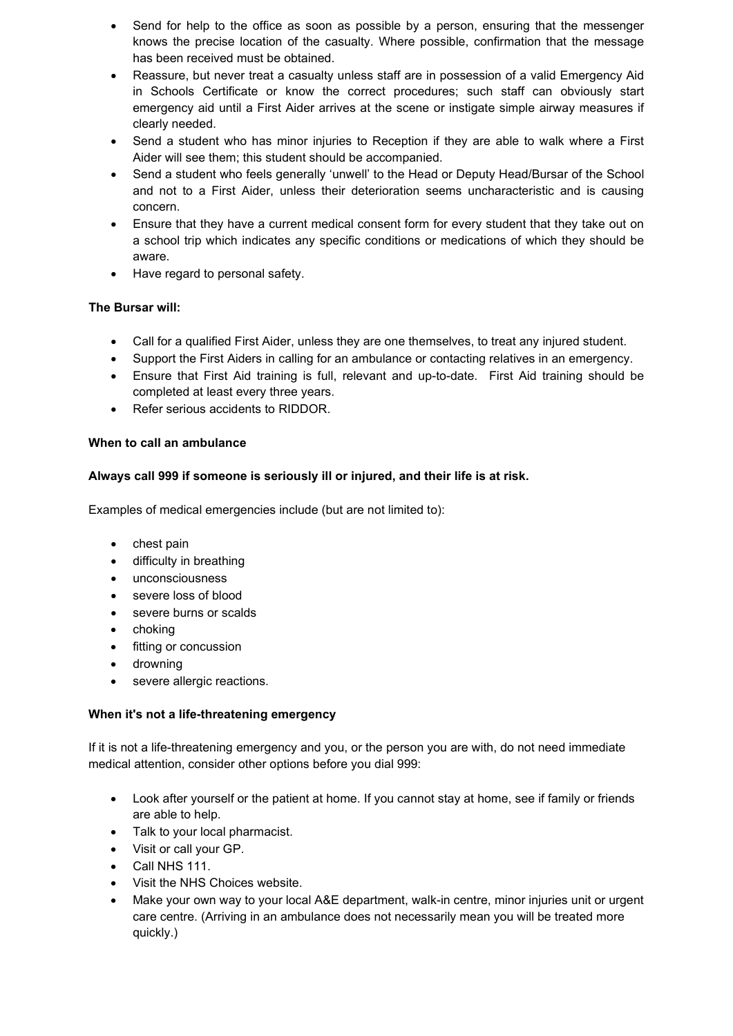- Send for help to the office as soon as possible by a person, ensuring that the messenger knows the precise location of the casualty. Where possible, confirmation that the message has been received must be obtained.
- Reassure, but never treat a casualty unless staff are in possession of a valid Emergency Aid in Schools Certificate or know the correct procedures; such staff can obviously start emergency aid until a First Aider arrives at the scene or instigate simple airway measures if clearly needed.
- Send a student who has minor injuries to Reception if they are able to walk where a First Aider will see them; this student should be accompanied.
- Send a student who feels generally 'unwell' to the Head or Deputy Head/Bursar of the School and not to a First Aider, unless their deterioration seems uncharacteristic and is causing concern.
- Ensure that they have a current medical consent form for every student that they take out on a school trip which indicates any specific conditions or medications of which they should be aware.
- Have regard to personal safety.

## **The Bursar will:**

- Call for a qualified First Aider, unless they are one themselves, to treat any injured student.
- Support the First Aiders in calling for an ambulance or contacting relatives in an emergency.
- Ensure that First Aid training is full, relevant and up-to-date. First Aid training should be completed at least every three years.
- Refer serious accidents to RIDDOR.

#### **When to call an ambulance**

#### **Always call 999 if someone is seriously ill or injured, and their life is at risk.**

Examples of medical emergencies include (but are not limited to):

- chest pain
- difficulty in breathing
- unconsciousness
- severe loss of blood
- severe burns or scalds
- choking
- fitting or concussion
- drowning
- severe allergic reactions.

#### **When it's not a life-threatening emergency**

If it is not a life-threatening emergency and you, or the person you are with, do not need immediate medical attention, consider other options before you dial 999:

- Look after yourself or the patient at home. If you cannot stay at home, see if family or friends are able to help.
- Talk to your local pharmacist.
- Visit or call your GP.
- Call NHS 111.
- Visit the NHS Choices website.
- Make your own way to your local A&E department, walk-in centre, minor injuries unit or urgent care centre. (Arriving in an ambulance does not necessarily mean you will be treated more quickly.)